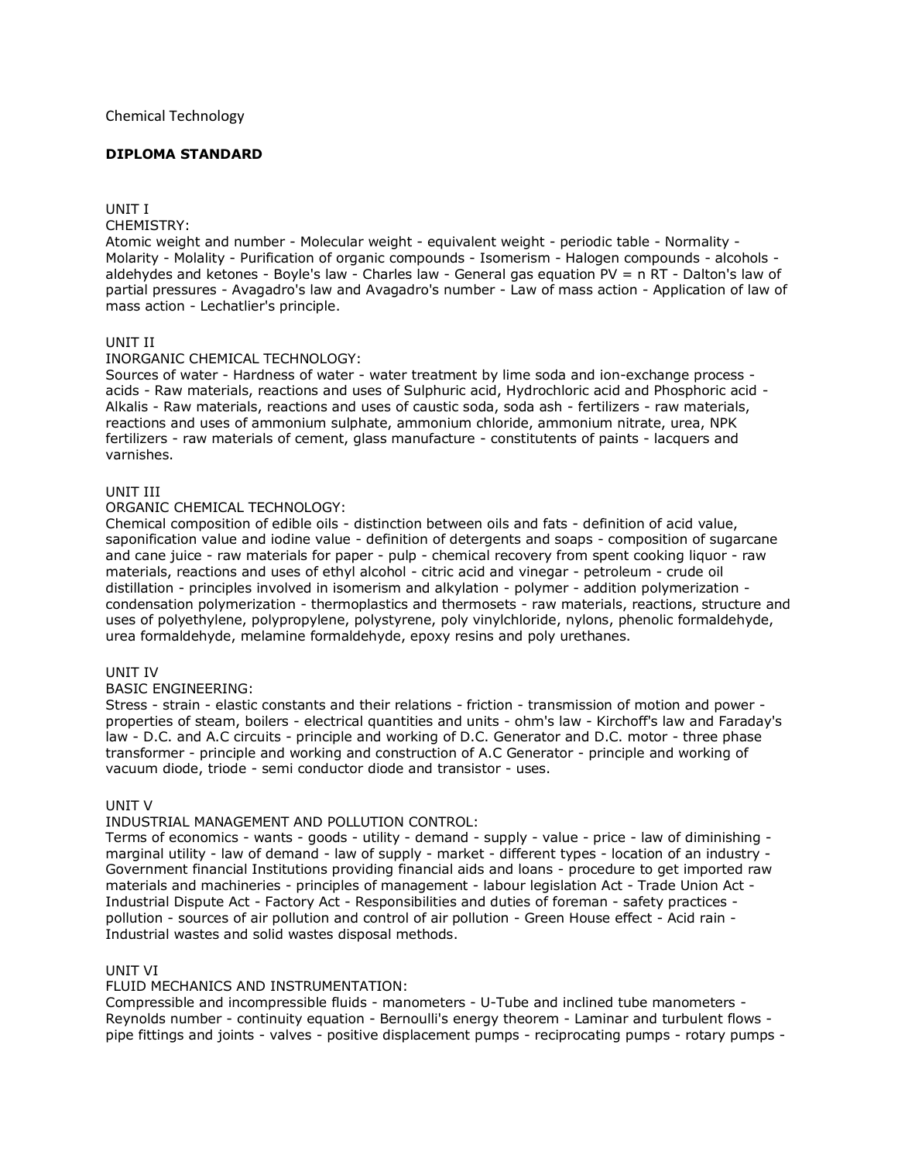## Chemical Technology

# **DIPLOMA STANDARD**

# UNIT I

CHEMISTRY:

Atomic weight and number - Molecular weight - equivalent weight - periodic table - Normality - Molarity - Molality - Purification of organic compounds - Isomerism - Halogen compounds - alcohols aldehydes and ketones - Boyle's law - Charles law - General gas equation PV = n RT - Dalton's law of partial pressures - Avagadro's law and Avagadro's number - Law of mass action - Application of law of mass action - Lechatlier's principle.

# UNIT II

## INORGANIC CHEMICAL TECHNOLOGY:

Sources of water - Hardness of water - water treatment by lime soda and ion-exchange process acids - Raw materials, reactions and uses of Sulphuric acid, Hydrochloric acid and Phosphoric acid - Alkalis - Raw materials, reactions and uses of caustic soda, soda ash - fertilizers - raw materials, reactions and uses of ammonium sulphate, ammonium chloride, ammonium nitrate, urea, NPK fertilizers - raw materials of cement, glass manufacture - constitutents of paints - lacquers and varnishes.

#### UNIT III

## ORGANIC CHEMICAL TECHNOLOGY:

Chemical composition of edible oils - distinction between oils and fats - definition of acid value, saponification value and iodine value - definition of detergents and soaps - composition of sugarcane and cane juice - raw materials for paper - pulp - chemical recovery from spent cooking liquor - raw materials, reactions and uses of ethyl alcohol - citric acid and vinegar - petroleum - crude oil distillation - principles involved in isomerism and alkylation - polymer - addition polymerization condensation polymerization - thermoplastics and thermosets - raw materials, reactions, structure and uses of polyethylene, polypropylene, polystyrene, poly vinylchloride, nylons, phenolic formaldehyde, urea formaldehyde, melamine formaldehyde, epoxy resins and poly urethanes.

## UNIT IV

## BASIC ENGINEERING:

Stress - strain - elastic constants and their relations - friction - transmission of motion and power properties of steam, boilers - electrical quantities and units - ohm's law - Kirchoff's law and Faraday's law - D.C. and A.C circuits - principle and working of D.C. Generator and D.C. motor - three phase transformer - principle and working and construction of A.C Generator - principle and working of vacuum diode, triode - semi conductor diode and transistor - uses.

## UNIT V

## INDUSTRIAL MANAGEMENT AND POLLUTION CONTROL:

Terms of economics - wants - goods - utility - demand - supply - value - price - law of diminishing marginal utility - law of demand - law of supply - market - different types - location of an industry - Government financial Institutions providing financial aids and loans - procedure to get imported raw materials and machineries - principles of management - labour legislation Act - Trade Union Act - Industrial Dispute Act - Factory Act - Responsibilities and duties of foreman - safety practices pollution - sources of air pollution and control of air pollution - Green House effect - Acid rain - Industrial wastes and solid wastes disposal methods.

## UNIT VI

## FLUID MECHANICS AND INSTRUMENTATION:

Compressible and incompressible fluids - manometers - U-Tube and inclined tube manometers - Reynolds number - continuity equation - Bernoulli's energy theorem - Laminar and turbulent flows pipe fittings and joints - valves - positive displacement pumps - reciprocating pumps - rotary pumps -